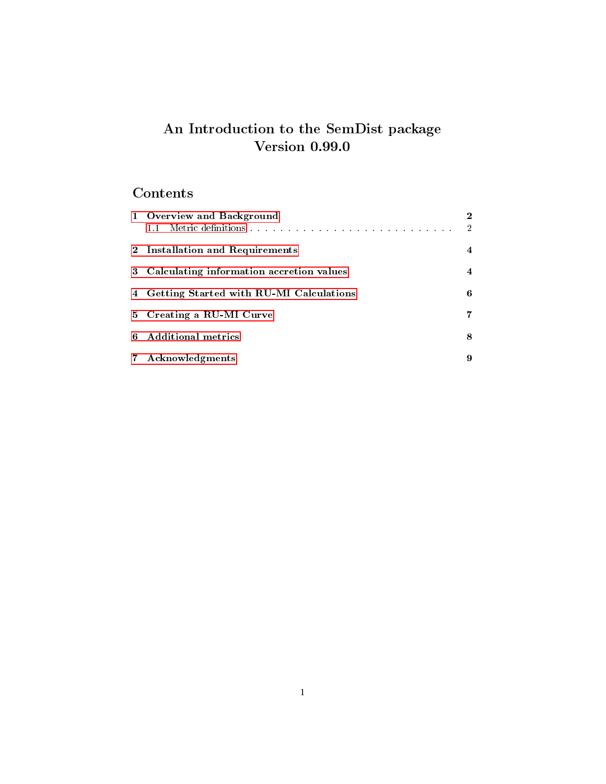## An Introduction to the SemDist package Version 0.99.0

# Contents

| 1 Overview and Background                  | $\bf{2}$<br>$\overline{2}$ |
|--------------------------------------------|----------------------------|
| 2 Installation and Requirements            | $\overline{4}$             |
| 3 Calculating information accretion values | $\overline{4}$             |
| 4 Getting Started with RU-MI Calculations  | 6                          |
| 5 Creating a RU-MI Curve                   | 7                          |
| 6 Additional metrics                       | 8                          |
| 7 Acknowledgments                          | 9                          |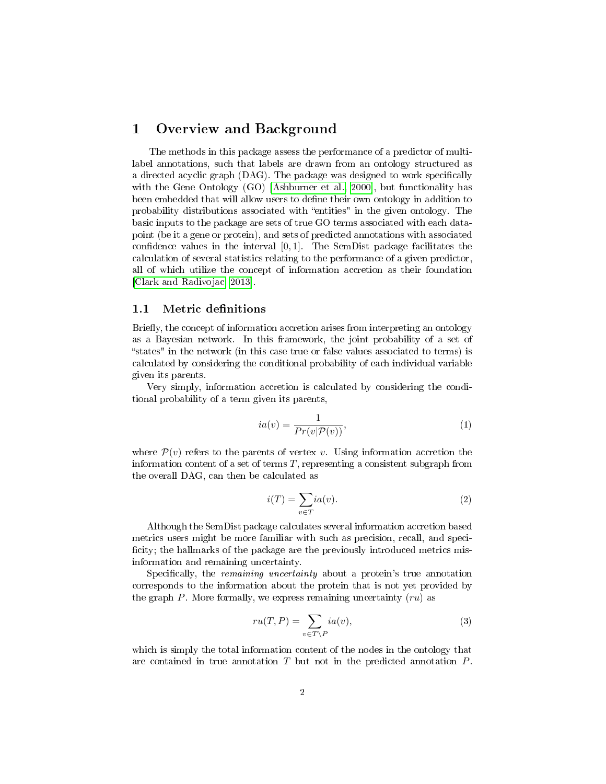#### <span id="page-1-0"></span>1 Overview and Background

The methods in this package assess the performance of a predictor of multilabel annotations, such that labels are drawn from an ontology structured as a directed acyclic graph (DAG). The package was designed to work specifically with the Gene Ontology (GO) [\[Ashburner et al., 2000\]](#page-9-0), but functionality has been embedded that will allow users to define their own ontology in addition to probability distributions associated with "entities" in the given ontology. The basic inputs to the package are sets of true GO terms associated with each datapoint (be it a gene or protein), and sets of predicted annotations with associated confidence values in the interval  $[0, 1]$ . The SemDist package facilitates the calculation of several statistics relating to the performance of a given predictor, all of which utilize the concept of information accretion as their foundation [\[Clark and Radivojac, 2013\]](#page-9-1).

#### <span id="page-1-1"></span>1.1 Metric definitions

Briefly, the concept of information accretion arises from interpreting an ontology as a Bayesian network. In this framework, the joint probability of a set of states" in the network (in this case true or false values associated to terms) is calculated by considering the conditional probability of each individual variable given its parents.

Very simply, information accretion is calculated by considering the conditional probability of a term given its parents,

<span id="page-1-3"></span>
$$
ia(v) = \frac{1}{Pr(v|\mathcal{P}(v))},\tag{1}
$$

where  $\mathcal{P}(v)$  refers to the parents of vertex v. Using information accretion the information content of a set of terms  $T$ , representing a consistent subgraph from the overall DAG, can then be calculated as

$$
i(T) = \sum_{v \in T} i a(v). \tag{2}
$$

Although the SemDist package calculates several information accretion based metrics users might be more familiar with such as precision, recall, and speci ficity; the hallmarks of the package are the previously introduced metrics misinformation and remaining uncertainty.

Specifically, the *remaining uncertainty* about a protein's true annotation corresponds to the information about the protein that is not yet provided by the graph  $P$ . More formally, we express remaining uncertainty  $(ru)$  as

<span id="page-1-2"></span>
$$
ru(T, P) = \sum_{v \in T \backslash P} ia(v),\tag{3}
$$

which is simply the total information content of the nodes in the ontology that are contained in true annotation  $T$  but not in the predicted annotation  $P$ .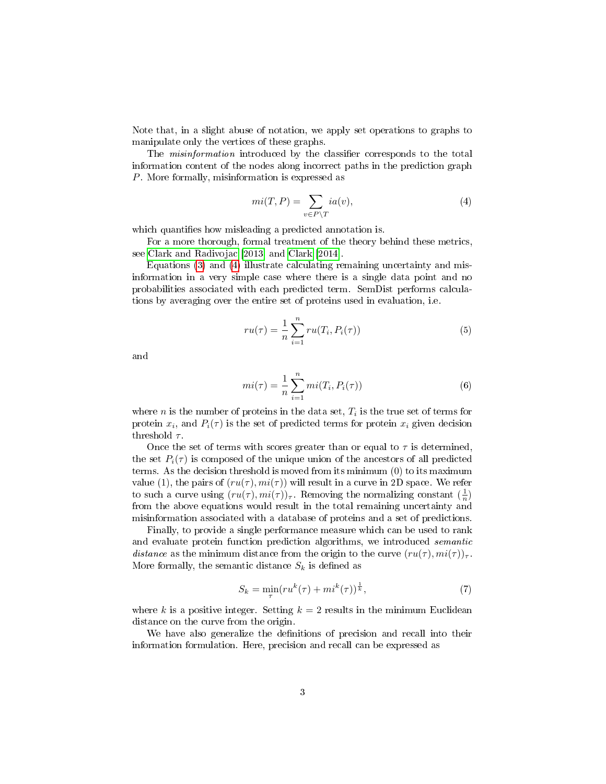Note that, in a slight abuse of notation, we apply set operations to graphs to manipulate only the vertices of these graphs.

The *misinformation* introduced by the classifier corresponds to the total information content of the nodes along incorrect paths in the prediction graph P. More formally, misinformation is expressed as

<span id="page-2-0"></span>
$$
mi(T, P) = \sum_{v \in P \backslash T} ia(v),\tag{4}
$$

which quantifies how misleading a predicted annotation is.

For a more thorough, formal treatment of the theory behind these metrics, see [Clark and Radivojac](#page-9-1) [\[2013\]](#page-9-1) and [Clark](#page-9-2) [\[2014\]](#page-9-2).

Equations [\(3\)](#page-1-2) and [\(4\)](#page-2-0) illustrate calculating remaining uncertainty and misinformation in a very simple case where there is a single data point and no probabilities associated with each predicted term. SemDist performs calculations by averaging over the entire set of proteins used in evaluation, i.e.

<span id="page-2-1"></span>
$$
ru(\tau) = \frac{1}{n} \sum_{i=1}^{n} ru(T_i, P_i(\tau))
$$
\n<sup>(5)</sup>

and

<span id="page-2-2"></span>
$$
mi(\tau) = \frac{1}{n} \sum_{i=1}^{n} mi(T_i, P_i(\tau))
$$
\n(6)

where *n* is the number of proteins in the data set,  $T_i$  is the true set of terms for protein  $x_i$ , and  $P_i(\tau)$  is the set of predicted terms for protein  $x_i$  given decision threshold  $\tau$ .

Once the set of terms with scores greater than or equal to  $\tau$  is determined, the set  $P_i(\tau)$  is composed of the unique union of the ancestors of all predicted terms. As the decision threshold is moved from its minimum (0) to its maximum value (1), the pairs of  $(ru(\tau), mi(\tau))$  will result in a curve in 2D space. We refer to such a curve using  $(ru(\tau),mi(\tau))_{\tau}$ . Removing the normalizing constant  $(\frac{1}{n})$ from the above equations would result in the total remaining uncertainty and misinformation associated with a database of proteins and a set of predictions.

Finally, to provide a single performance measure which can be used to rank and evaluate protein function prediction algorithms, we introduced semantic distance as the minimum distance from the origin to the curve  $(ru(\tau), mi(\tau))_{\tau}$ . More formally, the semantic distance  $S_k$  is defined as

<span id="page-2-3"></span>
$$
S_k = \min_{\tau} (r u^k(\tau) + m i^k(\tau))^{\frac{1}{k}},\tag{7}
$$

where k is a positive integer. Setting  $k = 2$  results in the minimum Euclidean distance on the curve from the origin.

We have also generalize the definitions of precision and recall into their information formulation. Here, precision and recall can be expressed as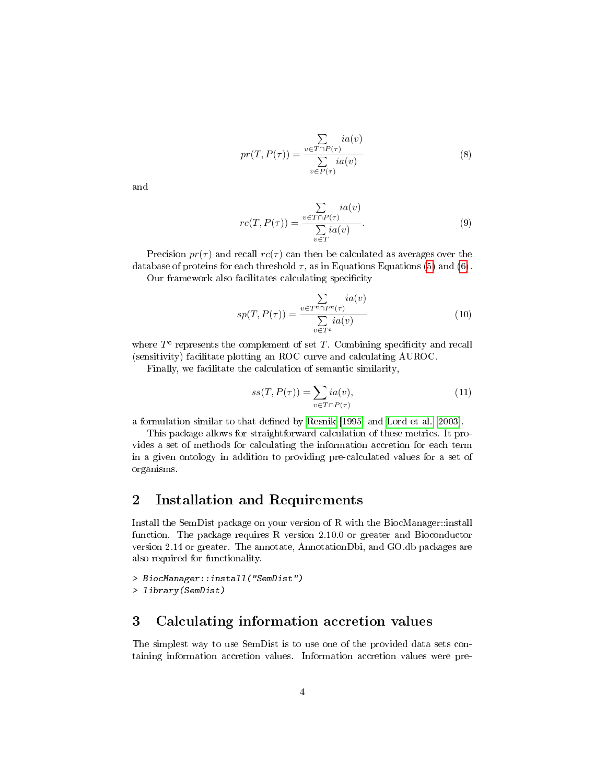<span id="page-3-3"></span>
$$
pr(T, P(\tau)) = \frac{\sum_{v \in T \cap P(\tau)} ia(v)}{\sum_{v \in P(\tau)} ia(v)}
$$
(8)

and

<span id="page-3-4"></span>
$$
rc(T, P(\tau)) = \frac{\sum\limits_{v \in T \cap P(\tau)} ia(v)}{\sum\limits_{v \in T} ia(v)}.
$$
\n(9)

Precision  $pr(\tau)$  and recall  $rc(\tau)$  can then be calculated as averages over the database of proteins for each threshold  $\tau$ , as in Equations Equations [\(5\)](#page-2-1) and [\(6\)](#page-2-2).

Our framework also facilitates calculating specificity

<span id="page-3-5"></span>
$$
sp(T, P(\tau)) = \frac{\sum\limits_{v \in T^c \cap P^c(\tau)} ia(v)}{\sum\limits_{v \in T^c} ia(v)} \tag{10}
$$

where  $T<sup>c</sup>$  represents the complement of set T. Combining specificity and recall (sensitivity) facilitate plotting an ROC curve and calculating AUROC.

Finally, we facilitate the calculation of semantic similarity,

<span id="page-3-2"></span>
$$
ss(T, P(\tau)) = \sum_{v \in T \cap P(\tau)} i a(v),\tag{11}
$$

a formulation similar to that defined by [Resnik](#page-9-3) [\[1995\]](#page-9-3) and [Lord et al.](#page-9-4) [\[2003\]](#page-9-4).

This package allows for straightforward calculation of these metrics. It provides a set of methods for calculating the information accretion for each term in a given ontology in addition to providing pre-calculated values for a set of organisms.

#### <span id="page-3-0"></span>2 Installation and Requirements

Install the SemDist package on your version of R with the BiocManager::install function. The package requires R version 2.10.0 or greater and Bioconductor version 2.14 or greater. The annotate, AnnotationDbi, and GO.db packages are also required for functionality.

```
> BiocManager::install("SemDist")
> library(SemDist)
```
#### <span id="page-3-1"></span>3 Calculating information accretion values

The simplest way to use SemDist is to use one of the provided data sets containing information accretion values. Information accretion values were pre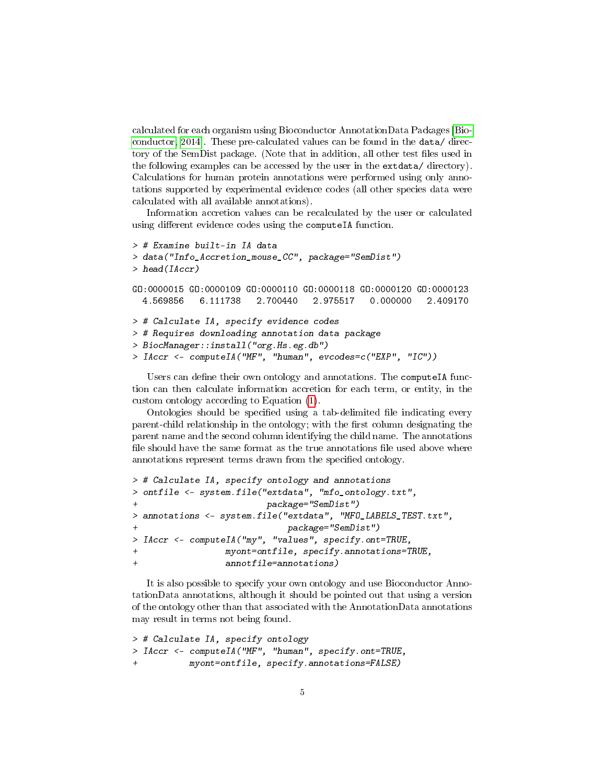calculated for each organism using Bioconductor AnnotationData Packages [\[Bio](#page-9-5)[conductor, 2014\]](#page-9-5). These pre-calculated values can be found in the data/ directory of the SemDist package. (Note that in addition, all other test files used in the following examples can be accessed by the user in the extdata/ directory). Calculations for human protein annotations were performed using only annotations supported by experimental evidence codes (all other species data were calculated with all available annotations).

Information accretion values can be recalculated by the user or calculated using different evidence codes using the computeIA function.

```
> # Examine built-in IA data
> data("Info_Accretion_mouse_CC", package="SemDist")
> head(IAccr)
GO:0000015 GO:0000109 GO:0000110 GO:0000118 GO:0000120 GO:0000123
 4.569856 6.111738 2.700440 2.975517 0.000000 2.409170
> # Calculate IA, specify evidence codes
> # Requires downloading annotation data package
> BiocManager::install("org.Hs.eg.db")
> IAccr <- computeIA("MF", "human", evcodes=c("EXP", "IC"))
```
Users can define their own ontology and annotations. The computeIA function can then calculate information accretion for each term, or entity, in the custom ontology according to Equation [\(1\)](#page-1-3).

Ontologies should be specified using a tab-delimited file indicating every parent-child relationship in the ontology; with the first column designating the parent name and the second column identifying the child name. The annotations file should have the same format as the true annotations file used above where annotations represent terms drawn from the specified ontology.

```
> # Calculate IA, specify ontology and annotations
> ontfile <- system.file("extdata", "mfo_ontology.txt",
+ package="SemDist")
> annotations <- system.file("extdata", "MFO_LABELS_TEST.txt",
                           package="SemDist")
> IAccr <- computeIA("my", "values", specify.ont=TRUE,
                myont=ontfile, spectrum, annotations=TRUE,+ annotfile=annotations)
```
It is also possible to specify your own ontology and use Bioconductor AnnotationData annotations, although it should be pointed out that using a version of the ontology other than that associated with the AnnotationData annotations may result in terms not being found.

```
> # Calculate IA, specify ontology
> IAccr <- computeIA("MF", "human", specify.ont=TRUE,
           myont=ontfile, specify.annotations=FALSE)
```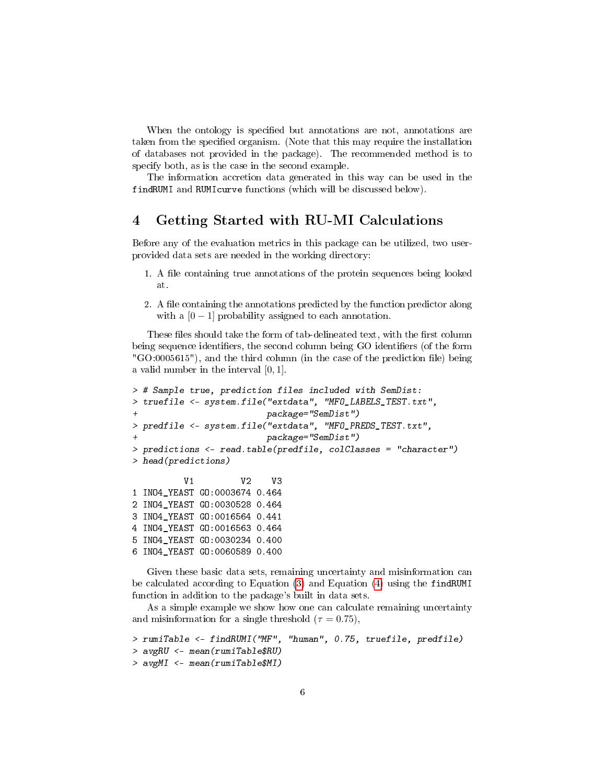When the ontology is specified but annotations are not, annotations are taken from the specified organism. (Note that this may require the installation of databases not provided in the package). The recommended method is to specify both, as is the case in the second example.

The information accretion data generated in this way can be used in the findRUMI and RUMIcurve functions (which will be discussed below).

#### <span id="page-5-0"></span>4 Getting Started with RU-MI Calculations

Before any of the evaluation metrics in this package can be utilized, two userprovided data sets are needed in the working directory:

- 1. A file containing true annotations of the protein sequences being looked at.
- 2. A file containing the annotations predicted by the function predictor along with a  $[0 - 1]$  probability assigned to each annotation.

These files should take the form of tab-delineated text, with the first column being sequence identifiers, the second column being GO identifiers (of the form  $"GO:0005615"$ , and the third column (in the case of the prediction file) being a valid number in the interval [0, 1].

```
> # Sample true, prediction files included with SemDist:
> truefile <- system.file("extdata", "MFO_LABELS_TEST.txt",
                          + package="SemDist")
> predfile <- system.file("extdata", "MFO_PREDS_TEST.txt",
                          + package="SemDist")
> predictions <- read.table(predfile, colClasses = "character")
> head(predictions)
          V1 V2 V3
1 INO4_YEAST GO:0003674 0.464
2 INO4_YEAST GO:0030528 0.464
3 INO4_YEAST GO:0016564 0.441
4 INO4_YEAST GO:0016563 0.464
5 INO4_YEAST GO:0030234 0.400
6 INO4_YEAST GO:0060589 0.400
```
Given these basic data sets, remaining uncertainty and misinformation can be calculated according to Equation [\(3\)](#page-1-2) and Equation [\(4\)](#page-2-0) using the findRUMI function in addition to the package's built in data sets.

As a simple example we show how one can calculate remaining uncertainty and misinformation for a single threshold  $(\tau = 0.75)$ .

```
> rumiTable <- findRUMI("MF", "human", 0.75, truefile, predfile)
> avgRU <- mean(rumiTable$RU)
> avgMI <- mean(rumiTable$MI)
```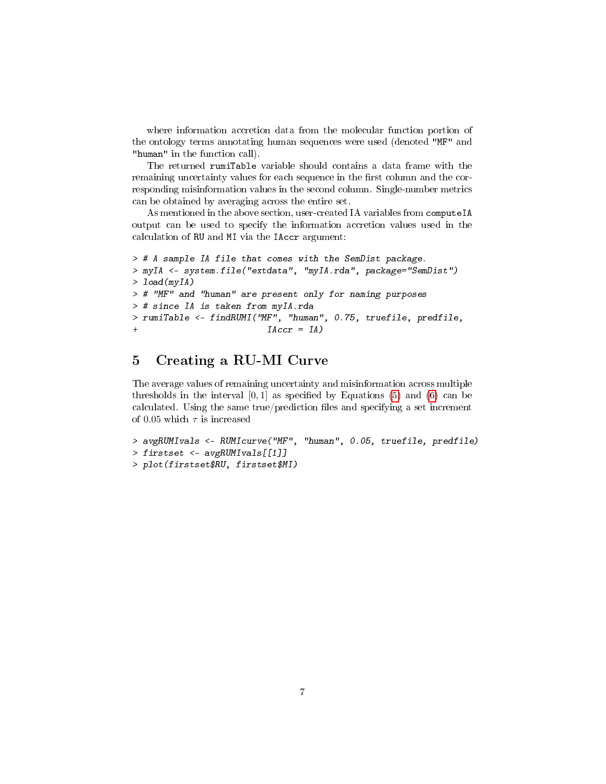where information accretion data from the molecular function portion of the ontology terms annotating human sequences were used (denoted "MF" and "human" in the function call).

The returned rumiTable variable should contains a data frame with the remaining uncertainty values for each sequence in the first column and the corresponding misinformation values in the second column. Single-number metrics can be obtained by averaging across the entire set.

As mentioned in the above section, user-created IA variables from computeIA output can be used to specify the information accretion values used in the calculation of RU and MI via the IAccr argument:

```
> # A sample IA file that comes with the SemDist package.
> myIA <- system.file("extdata", "myIA.rda", package="SemDist")
> load(myIA)
> # "MF" and "human" are present only for naming purposes
> # since IA is taken from myIA.rda
> rumiTable <- findRUMI("MF", "human", 0.75, truefile, predfile,
                          IACcr = IA
```
#### <span id="page-6-0"></span>5 Creating a RU-MI Curve

The average values of remaining uncertainty and misinformation across multiple thresholds in the interval  $[0, 1]$  as specified by Equations [\(5\)](#page-2-1) and [\(6\)](#page-2-2) can be calculated. Using the same  $true/prediction$  files and specifying a set increment of 0.05 which  $\tau$  is increased

```
> avgRUMIvals <- RUMIcurve("MF", "human", 0.05, truefile, predfile)
> firstset <- avgRUMIvals[[1]]
> plot(firstset$RU, firstset$MI)
```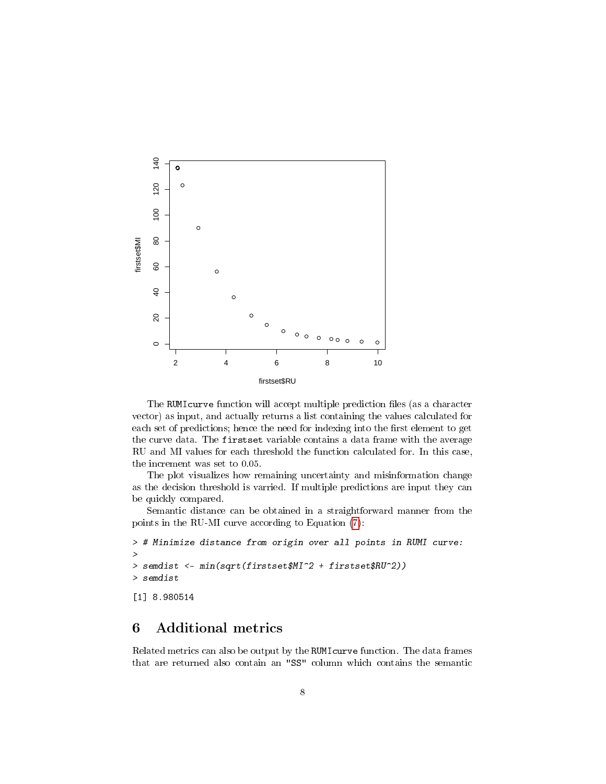

The RUMIcurve function will accept multiple prediction files (as a character vector) as input, and actually returns a list containing the values calculated for each set of predictions; hence the need for indexing into the first element to get the curve data. The firstset variable contains a data frame with the average RU and MI values for each threshold the function calculated for. In this case, the increment was set to 0.05.

The plot visualizes how remaining uncertainty and misinformation change as the decision threshold is varried. If multiple predictions are input they can be quickly compared.

Semantic distance can be obtained in a straightforward manner from the points in the RU-MI curve according to Equation [\(7\)](#page-2-3):

```
> # Minimize distance from origin over all points in RUMI curve:
>
> semdist <- min(sqrt(firstset$MI^2 + firstset$RU^2))
> semdist
[1] 8.980514
```
### <span id="page-7-0"></span>6 Additional metrics

Related metrics can also be output by the RUMIcurve function. The data frames that are returned also contain an "SS" column which contains the semantic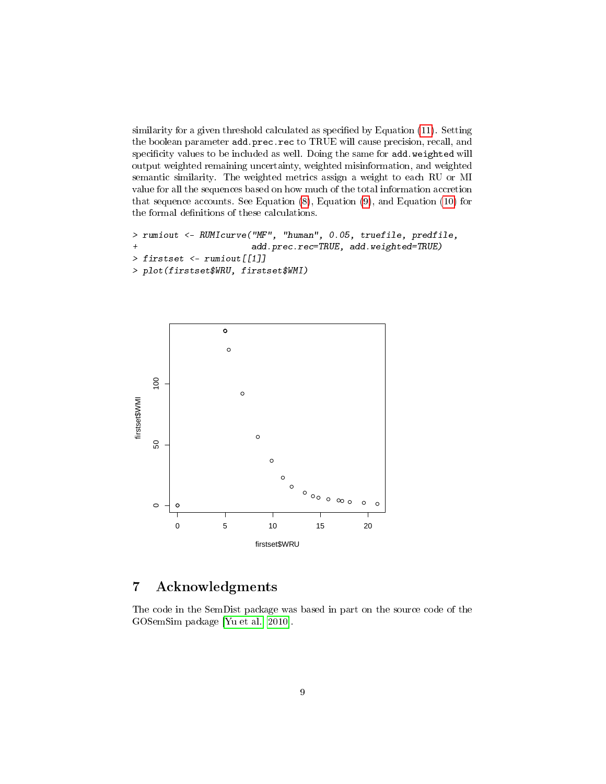similarity for a given threshold calculated as specified by Equation  $(11)$ . Setting the boolean parameter add.prec.rec to TRUE will cause precision, recall, and specificity values to be included as well. Doing the same for add.weighted will output weighted remaining uncertainty, weighted misinformation, and weighted semantic similarity. The weighted metrics assign a weight to each RU or MI value for all the sequences based on how much of the total information accretion that sequence accounts. See Equation [\(8\)](#page-3-3), Equation [\(9\)](#page-3-4), and Equation [\(10\)](#page-3-5) for the formal definitions of these calculations.

```
> rumiout <- RUMIcurve("MF", "human", 0.05, truefile, predfile,
+ add.prec.rec=TRUE, add.weighted=TRUE)
> firstset <- rumiout[[1]]
> plot(firstset$WRU, firstset$WMI)
```


### <span id="page-8-0"></span>7 Acknowledgments

The code in the SemDist package was based in part on the source code of the GOSemSim package [\[Yu et al., 2010\]](#page-9-6).